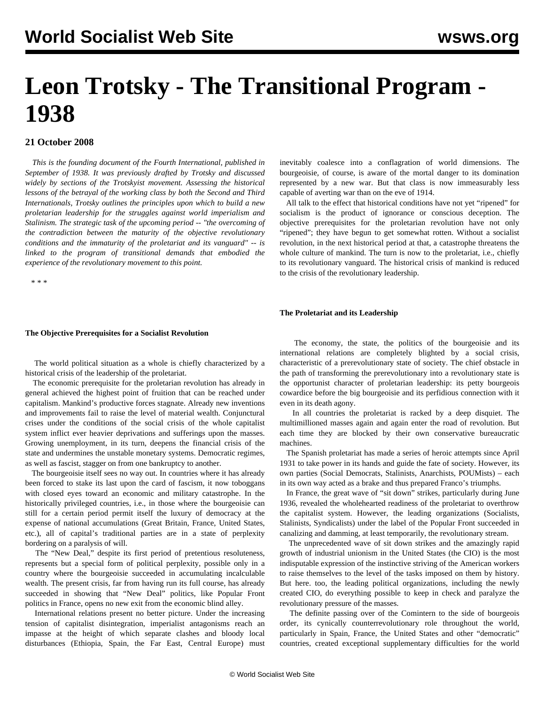# **Leon Trotsky - The Transitional Program - 1938**

# **21 October 2008**

 *This is the founding document of the Fourth International, published in September of 1938. It was previously drafted by Trotsky and discussed widely by sections of the Trotskyist movement. Assessing the historical lessons of the betrayal of the working class by both the Second and Third Internationals, Trotsky outlines the principles upon which to build a new proletarian leadership for the struggles against world imperialism and Stalinism. The strategic task of the upcoming period -- "the overcoming of the contradiction between the maturity of the objective revolutionary conditions and the immaturity of the proletariat and its vanguard" -- is linked to the program of transitional demands that embodied the experience of the revolutionary movement to this point.*

\* \* \*

#### **The Objective Prerequisites for a Socialist Revolution**

 The world political situation as a whole is chiefly characterized by a historical crisis of the leadership of the proletariat.

 The economic prerequisite for the proletarian revolution has already in general achieved the highest point of fruition that can be reached under capitalism. Mankind's productive forces stagnate. Already new inventions and improvements fail to raise the level of material wealth. Conjunctural crises under the conditions of the social crisis of the whole capitalist system inflict ever heavier deprivations and sufferings upon the masses. Growing unemployment, in its turn, deepens the financial crisis of the state and undermines the unstable monetary systems. Democratic regimes, as well as fascist, stagger on from one bankruptcy to another.

 The bourgeoisie itself sees no way out. In countries where it has already been forced to stake its last upon the card of fascism, it now toboggans with closed eyes toward an economic and military catastrophe. In the historically privileged countries, i.e., in those where the bourgeoisie can still for a certain period permit itself the luxury of democracy at the expense of national accumulations (Great Britain, France, United States, etc.), all of capital's traditional parties are in a state of perplexity bordering on a paralysis of will.

 The "New Deal," despite its first period of pretentious resoluteness, represents but a special form of political perplexity, possible only in a country where the bourgeoisie succeeded in accumulating incalculable wealth. The present crisis, far from having run its full course, has already succeeded in showing that "New Deal" politics, like Popular Front politics in France, opens no new exit from the economic blind alley.

 International relations present no better picture. Under the increasing tension of capitalist disintegration, imperialist antagonisms reach an impasse at the height of which separate clashes and bloody local disturbances (Ethiopia, Spain, the Far East, Central Europe) must inevitably coalesce into a conflagration of world dimensions. The bourgeoisie, of course, is aware of the mortal danger to its domination represented by a new war. But that class is now immeasurably less capable of averting war than on the eve of 1914.

 All talk to the effect that historical conditions have not yet "ripened" for socialism is the product of ignorance or conscious deception. The objective prerequisites for the proletarian revolution have not only "ripened"; they have begun to get somewhat rotten. Without a socialist revolution, in the next historical period at that, a catastrophe threatens the whole culture of mankind. The turn is now to the proletariat, i.e., chiefly to its revolutionary vanguard. The historical crisis of mankind is reduced to the crisis of the revolutionary leadership.

# **The Proletariat and its Leadership**

 The economy, the state, the politics of the bourgeoisie and its international relations are completely blighted by a social crisis, characteristic of a prerevolutionary state of society. The chief obstacle in the path of transforming the prerevolutionary into a revolutionary state is the opportunist character of proletarian leadership: its petty bourgeois cowardice before the big bourgeoisie and its perfidious connection with it even in its death agony.

 In all countries the proletariat is racked by a deep disquiet. The multimillioned masses again and again enter the road of revolution. But each time they are blocked by their own conservative bureaucratic machines.

 The Spanish proletariat has made a series of heroic attempts since April 1931 to take power in its hands and guide the fate of society. However, its own parties (Social Democrats, Stalinists, Anarchists, POUMists) – each in its own way acted as a brake and thus prepared Franco's triumphs.

 In France, the great wave of "sit down" strikes, particularly during June 1936, revealed the wholehearted readiness of the proletariat to overthrow the capitalist system. However, the leading organizations (Socialists, Stalinists, Syndicalists) under the label of the Popular Front succeeded in canalizing and damming, at least temporarily, the revolutionary stream.

 The unprecedented wave of sit down strikes and the amazingly rapid growth of industrial unionism in the United States (the CIO) is the most indisputable expression of the instinctive striving of the American workers to raise themselves to the level of the tasks imposed on them by history. But here. too, the leading political organizations, including the newly created CIO, do everything possible to keep in check and paralyze the revolutionary pressure of the masses.

 The definite passing over of the Comintern to the side of bourgeois order, its cynically counterrevolutionary role throughout the world, particularly in Spain, France, the United States and other "democratic" countries, created exceptional supplementary difficulties for the world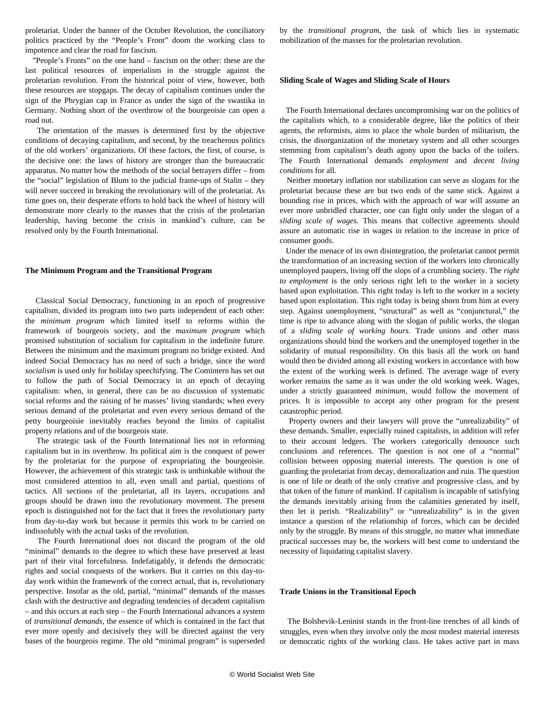proletariat. Under the banner of the October Revolution, the conciliatory politics practiced by the "People's Front" doom the working class to impotence and clear the road for fascism.

 "People's Fronts" on the one hand – fascism on the other: these are the last political resources of imperialism in the struggle against the proletarian revolution. From the historical point of view, however, both these resources are stopgaps. The decay of capitalism continues under the sign of the Phrygian cap in France as under the sign of the swastika in Germany. Nothing short of the overthrow of the bourgeoisie can open a road out.

 The orientation of the masses is determined first by the objective conditions of decaying capitalism, and second, by the treacherous politics of the old workers' organizations. Of these factors, the first, of course, is the decisive one: the laws of history are stronger than the bureaucratic apparatus. No matter how the methods of the social betrayers differ – from the "social" legislation of Blum to the judicial frame-ups of Stalin – they will never succeed in breaking the revolutionary will of the proletariat. As time goes on, their desperate efforts to hold back the wheel of history will demonstrate more clearly to the masses that the crisis of the proletarian leadership, having become the crisis in mankind's culture, can be resolved only by the Fourth International.

#### **The Minimum Program and the Transitional Program**

 Classical Social Democracy, functioning in an epoch of progressive capitalism, divided its program into two parts independent of each other: the *minimum program* which limited itself to reforms within the framework of bourgeois society, and the *maximum program* which promised substitution of socialism for capitalism in the indefinite future. Between the minimum and the maximum program no bridge existed. And indeed Social Democracy has no need of such a bridge, since the word *socialism* is used only for holiday speechifying. The Comintern has set out to follow the path of Social Democracy in an epoch of decaying capitalism: when, in general, there can be no discussion of systematic social reforms and the raising of he masses' living standards; when every serious demand of the proletariat and even every serious demand of the petty bourgeoisie inevitably reaches beyond the limits of capitalist property relations and of the bourgeois state.

 The strategic task of the Fourth International lies not in reforming capitalism but in its overthrow. Its political aim is the conquest of power by the proletariat for the purpose of expropriating the bourgeoisie. However, the achievement of this strategic task is unthinkable without the most considered attention to all, even small and partial, questions of tactics. All sections of the proletariat, all its layers, occupations and groups should be drawn into the revolutionary movement. The present epoch is distinguished not for the fact that it frees the revolutionary party from day-to-day work but because it permits this work to be carried on indissolubly with the actual tasks of the revolution.

 The Fourth International does not discard the program of the old "minimal" demands to the degree to which these have preserved at least part of their vital forcefulness. Indefatigably, it defends the democratic rights and social conquests of the workers. But it carries on this day-today work within the framework of the correct actual, that is, revolutionary perspective. Insofar as the old, partial, "minimal" demands of the masses clash with the destructive and degrading tendencies of decadent capitalism – and this occurs at each step – the Fourth International advances a system of *transitional demands*, the essence of which is contained in the fact that ever more openly and decisively they will be directed against the very bases of the bourgeois regime. The old "minimal program" is superseded by the *transitional program*, the task of which lies in systematic mobilization of the masses for the proletarian revolution.

#### **Sliding Scale of Wages and Sliding Scale of Hours**

 The Fourth International declares uncompromising war on the politics of the capitalists which, to a considerable degree, like the politics of their agents, the reformists, aims to place the whole burden of militarism, the crisis, the disorganization of the monetary system and all other scourges stemming from capitalism's death agony upon the backs of the toilers. The Fourth International demands *employment* and *decent living conditions* for all.

 Neither monetary inflation nor stabilization can serve as slogans for the proletariat because these are but two ends of the same stick. Against a bounding rise in prices, which with the approach of war will assume an ever more unbridled character, one can fight only under the slogan of a *sliding scale of wages.* This means that collective agreements should assure an automatic rise in wages in relation to the increase in price of consumer goods.

 Under the menace of its own disintegration, the proletariat cannot permit the transformation of an increasing section of the workers into chronically unemployed paupers, living off the slops of a crumbling society. The *right to employment* is the only serious right left to the worker in a society based upon exploitation. This right today is left to the worker in a society based upon exploitation. This right today is being shorn from him at every step. Against unemployment, "structural" as well as "conjunctural," the time is ripe to advance along with the slogan of public works, the slogan of a *sliding scale of working hours*. Trade unions and other mass organizations should bind the workers and the unemployed together in the solidarity of mutual responsibility. On this basis all the work on hand would then be divided among all existing workers in accordance with how the extent of the working week is defined. The average wage of every worker remains the same as it was under the old working week. Wages, under a strictly guaranteed *minimum*, would follow the movement of prices. It is impossible to accept any other program for the present catastrophic period.

 Property owners and their lawyers will prove the "unrealizability" of these demands. Smaller, especially ruined capitalists, in addition will refer to their account ledgers. The workers categorically denounce such conclusions and references. The question is not one of a "normal" collision between opposing material interests. The question is one of guarding the proletariat from decay, demoralization and ruin. The question is one of life or death of the only creative and progressive class, and by that token of the future of mankind. If capitalism is incapable of satisfying the demands inevitably arising from the calamities generated by itself, then let it perish. "Realizability" or "unrealizability" is in the given instance a question of the relationship of forces, which can be decided only by the struggle. By means of this struggle, no matter what immediate practical successes may be, the workers will best come to understand the necessity of liquidating capitalist slavery.

#### **Trade Unions in the Transitional Epoch**

 The Bolshevik-Leninist stands in the front-line trenches of all kinds of struggles, even when they involve only the most modest material interests or democratic rights of the working class. He takes active part in mass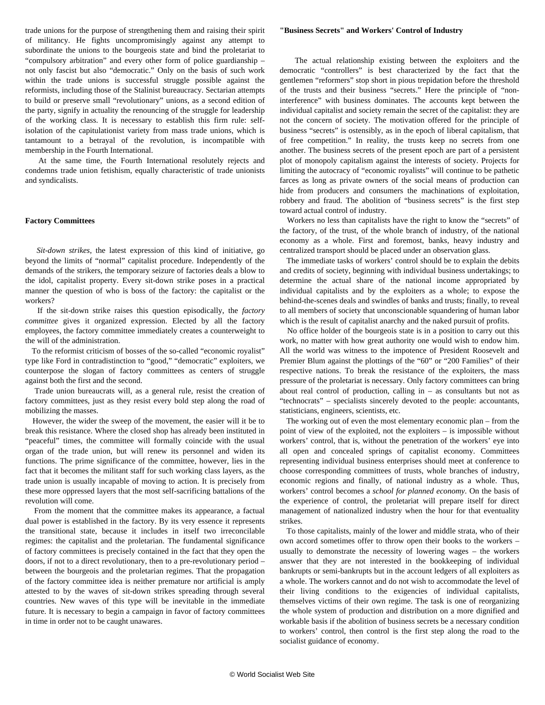trade unions for the purpose of strengthening them and raising their spirit of militancy. He fights uncompromisingly against any attempt to subordinate the unions to the bourgeois state and bind the proletariat to "compulsory arbitration" and every other form of police guardianship – not only fascist but also "democratic." Only on the basis of such work within the trade unions is successful struggle possible against the reformists, including those of the Stalinist bureaucracy. Sectarian attempts to build or preserve small "revolutionary" unions, as a second edition of the party, signify in actuality the renouncing of the struggle for leadership of the working class. It is necessary to establish this firm rule: selfisolation of the capitulationist variety from mass trade unions, which is tantamount to a betrayal of the revolution, is incompatible with membership in the Fourth International.

 At the same time, the Fourth International resolutely rejects and condemns trade union fetishism, equally characteristic of trade unionists and syndicalists.

#### **Factory Committees**

 *Sit-down strikes*, the latest expression of this kind of initiative, go beyond the limits of "normal" capitalist procedure. Independently of the demands of the strikers, the temporary seizure of factories deals a blow to the idol, capitalist property. Every sit-down strike poses in a practical manner the question of who is boss of the factory: the capitalist or the workers?

 If the sit-down strike raises this question episodically, the *factory committee* gives it organized expression. Elected by all the factory employees, the factory committee immediately creates a counterweight to the will of the administration.

 To the reformist criticism of bosses of the so-called "economic royalist" type like Ford in contradistinction to "good," "democratic" exploiters, we counterpose the slogan of factory committees as centers of struggle against both the first and the second.

 Trade union bureaucrats will, as a general rule, resist the creation of factory committees, just as they resist every bold step along the road of mobilizing the masses.

 However, the wider the sweep of the movement, the easier will it be to break this resistance. Where the closed shop has already been instituted in "peaceful" times, the committee will formally coincide with the usual organ of the trade union, but will renew its personnel and widen its functions. The prime significance of the committee, however, lies in the fact that it becomes the militant staff for such working class layers, as the trade union is usually incapable of moving to action. It is precisely from these more oppressed layers that the most self-sacrificing battalions of the revolution will come.

 From the moment that the committee makes its appearance, a factual dual power is established in the factory. By its very essence it represents the transitional state, because it includes in itself two irreconcilable regimes: the capitalist and the proletarian. The fundamental significance of factory committees is precisely contained in the fact that they open the doors, if not to a direct revolutionary, then to a pre-revolutionary period – between the bourgeois and the proletarian regimes. That the propagation of the factory committee idea is neither premature nor artificial is amply attested to by the waves of sit-down strikes spreading through several countries. New waves of this type will be inevitable in the immediate future. It is necessary to begin a campaign in favor of factory committees in time in order not to be caught unawares.

#### **"Business Secrets" and Workers' Control of Industry**

 The actual relationship existing between the exploiters and the democratic "controllers" is best characterized by the fact that the gentlemen "reformers" stop short in pious trepidation before the threshold of the trusts and their business "secrets." Here the principle of "noninterference" with business dominates. The accounts kept between the individual capitalist and society remain the secret of the capitalist: they are not the concern of society. The motivation offered for the principle of business "secrets" is ostensibly, as in the epoch of liberal capitalism, that of free competition." In reality, the trusts keep no secrets from one another. The business secrets of the present epoch are part of a persistent plot of monopoly capitalism against the interests of society. Projects for limiting the autocracy of "economic royalists" will continue to be pathetic farces as long as private owners of the social means of production can hide from producers and consumers the machinations of exploitation, robbery and fraud. The abolition of "business secrets" is the first step toward actual control of industry.

 Workers no less than capitalists have the right to know the "secrets" of the factory, of the trust, of the whole branch of industry, of the national economy as a whole. First and foremost, banks, heavy industry and centralized transport should be placed under an observation glass.

 The immediate tasks of workers' control should be to explain the debits and credits of society, beginning with individual business undertakings; to determine the actual share of the national income appropriated by individual capitalists and by the exploiters as a whole; to expose the behind-the-scenes deals and swindles of banks and trusts; finally, to reveal to all members of society that unconscionable squandering of human labor which is the result of capitalist anarchy and the naked pursuit of profits.

 No office holder of the bourgeois state is in a position to carry out this work, no matter with how great authority one would wish to endow him. All the world was witness to the impotence of President Roosevelt and Premier Blum against the plottings of the "60" or "200 Families" of their respective nations. To break the resistance of the exploiters, the mass pressure of the proletariat is necessary. Only factory committees can bring about real control of production, calling in  $-$  as consultants but not as "technocrats" – specialists sincerely devoted to the people: accountants, statisticians, engineers, scientists, etc.

 The working out of even the most elementary economic plan – from the point of view of the exploited, not the exploiters – is impossible without workers' control, that is, without the penetration of the workers' eye into all open and concealed springs of capitalist economy. Committees representing individual business enterprises should meet at conference to choose corresponding committees of trusts, whole branches of industry, economic regions and finally, of national industry as a whole. Thus, workers' control becomes a *school for planned economy*. On the basis of the experience of control, the proletariat will prepare itself for direct management of nationalized industry when the hour for that eventuality strikes.

 To those capitalists, mainly of the lower and middle strata, who of their own accord sometimes offer to throw open their books to the workers – usually to demonstrate the necessity of lowering wages – the workers answer that they are not interested in the bookkeeping of individual bankrupts or semi-bankrupts but in the account ledgers of all exploiters as a whole. The workers cannot and do not wish to accommodate the level of their living conditions to the exigencies of individual capitalists, themselves victims of their own regime. The task is one of reorganizing the whole system of production and distribution on a more dignified and workable basis if the abolition of business secrets be a necessary condition to workers' control, then control is the first step along the road to the socialist guidance of economy.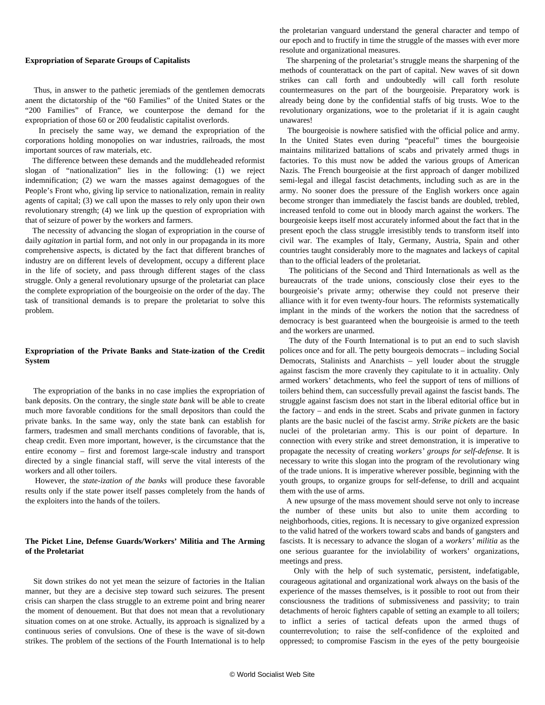#### **Expropriation of Separate Groups of Capitalists**

 Thus, in answer to the pathetic jeremiads of the gentlemen democrats anent the dictatorship of the "60 Families" of the United States or the "200 Families" of France, we counterpose the demand for the expropriation of those 60 or 200 feudalistic capitalist overlords.

 In precisely the same way, we demand the expropriation of the corporations holding monopolies on war industries, railroads, the most important sources of raw materials, etc.

 The difference between these demands and the muddleheaded reformist slogan of "nationalization" lies in the following: (1) we reject indemnification; (2) we warn the masses against demagogues of the People's Front who, giving lip service to nationalization, remain in reality agents of capital; (3) we call upon the masses to rely only upon their own revolutionary strength; (4) we link up the question of expropriation with that of seizure of power by the workers and farmers.

 The necessity of advancing the slogan of expropriation in the course of daily *agitation* in partial form, and not only in our propaganda in its more comprehensive aspects, is dictated by the fact that different branches of industry are on different levels of development, occupy a different place in the life of society, and pass through different stages of the class struggle. Only a general revolutionary upsurge of the proletariat can place the complete expropriation of the bourgeoisie on the order of the day. The task of transitional demands is to prepare the proletariat to solve this problem.

# **Expropriation of the Private Banks and State-ization of the Credit System**

 The expropriation of the banks in no case implies the expropriation of bank deposits. On the contrary, the single *state bank* will be able to create much more favorable conditions for the small depositors than could the private banks. In the same way, only the state bank can establish for farmers, tradesmen and small merchants conditions of favorable, that is, cheap credit. Even more important, however, is the circumstance that the entire economy – first and foremost large-scale industry and transport directed by a single financial staff, will serve the vital interests of the workers and all other toilers.

 However, the *state-ization of the banks* will produce these favorable results only if the state power itself passes completely from the hands of the exploiters into the hands of the toilers.

#### **The Picket Line, Defense Guards/Workers' Militia and The Arming of the Proletariat**

 Sit down strikes do not yet mean the seizure of factories in the Italian manner, but they are a decisive step toward such seizures. The present crisis can sharpen the class struggle to an extreme point and bring nearer the moment of denouement. But that does not mean that a revolutionary situation comes on at one stroke. Actually, its approach is signalized by a continuous series of convulsions. One of these is the wave of sit-down strikes. The problem of the sections of the Fourth International is to help the proletarian vanguard understand the general character and tempo of our epoch and to fructify in time the struggle of the masses with ever more resolute and organizational measures.

 The sharpening of the proletariat's struggle means the sharpening of the methods of counterattack on the part of capital. New waves of sit down strikes can call forth and undoubtedly will call forth resolute countermeasures on the part of the bourgeoisie. Preparatory work is already being done by the confidential staffs of big trusts. Woe to the revolutionary organizations, woe to the proletariat if it is again caught unawares!

 The bourgeoisie is nowhere satisfied with the official police and army. In the United States even during "peaceful" times the bourgeoisie maintains militarized battalions of scabs and privately armed thugs in factories. To this must now be added the various groups of American Nazis. The French bourgeoisie at the first approach of danger mobilized semi-legal and illegal fascist detachments, including such as are in the army. No sooner does the pressure of the English workers once again become stronger than immediately the fascist bands are doubled, trebled, increased tenfold to come out in bloody march against the workers. The bourgeoisie keeps itself most accurately informed about the fact that in the present epoch the class struggle irresistibly tends to transform itself into civil war. The examples of Italy, Germany, Austria, Spain and other countries taught considerably more to the magnates and lackeys of capital than to the official leaders of the proletariat.

 The politicians of the Second and Third Internationals as well as the bureaucrats of the trade unions, consciously close their eyes to the bourgeoisie's private army; otherwise they could not preserve their alliance with it for even twenty-four hours. The reformists systematically implant in the minds of the workers the notion that the sacredness of democracy is best guaranteed when the bourgeoisie is armed to the teeth and the workers are unarmed.

 The duty of the Fourth International is to put an end to such slavish polices once and for all. The petty bourgeois democrats – including Social Democrats, Stalinists and Anarchists – yell louder about the struggle against fascism the more cravenly they capitulate to it in actuality. Only armed workers' detachments, who feel the support of tens of millions of toilers behind them, can successfully prevail against the fascist bands. The struggle against fascism does not start in the liberal editorial office but in the factory – and ends in the street. Scabs and private gunmen in factory plants are the basic nuclei of the fascist army. *Strike pickets* are the basic nuclei of the proletarian army. This is our point of departure. In connection with every strike and street demonstration, it is imperative to propagate the necessity of creating *workers' groups for self-defense*. It is necessary to write this slogan into the program of the revolutionary wing of the trade unions. It is imperative wherever possible, beginning with the youth groups, to organize groups for self-defense, to drill and acquaint them with the use of arms.

 A new upsurge of the mass movement should serve not only to increase the number of these units but also to unite them according to neighborhoods, cities, regions. It is necessary to give organized expression to the valid hatred of the workers toward scabs and bands of gangsters and fascists. It is necessary to advance the slogan of a *workers' militia* as the one serious guarantee for the inviolability of workers' organizations, meetings and press.

 Only with the help of such systematic, persistent, indefatigable, courageous agitational and organizational work always on the basis of the experience of the masses themselves, is it possible to root out from their consciousness the traditions of submissiveness and passivity; to train detachments of heroic fighters capable of setting an example to all toilers; to inflict a series of tactical defeats upon the armed thugs of counterrevolution; to raise the self-confidence of the exploited and oppressed; to compromise Fascism in the eyes of the petty bourgeoisie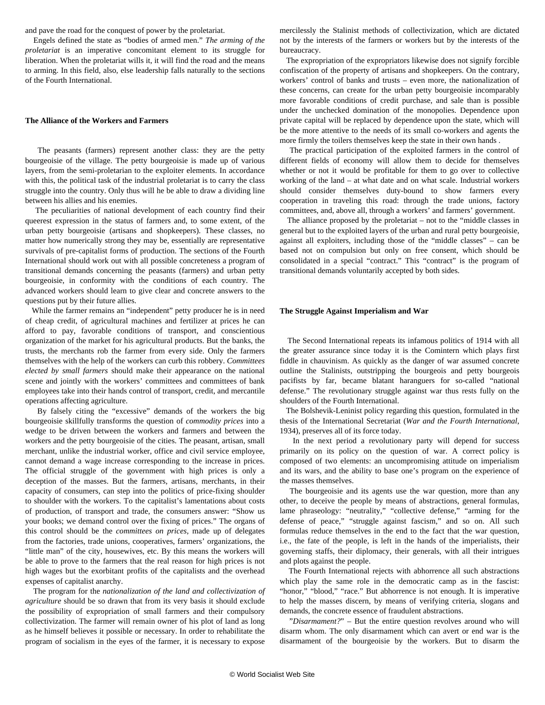and pave the road for the conquest of power by the proletariat.

 Engels defined the state as "bodies of armed men." *The arming of the proletariat* is an imperative concomitant element to its struggle for liberation. When the proletariat wills it, it will find the road and the means to arming. In this field, also, else leadership falls naturally to the sections of the Fourth International.

#### **The Alliance of the Workers and Farmers**

 The peasants (farmers) represent another class: they are the petty bourgeoisie of the village. The petty bourgeoisie is made up of various layers, from the semi-proletarian to the exploiter elements. In accordance with this, the political task of the industrial proletariat is to carry the class struggle into the country. Only thus will he be able to draw a dividing line between his allies and his enemies.

 The peculiarities of national development of each country find their queerest expression in the status of farmers and, to some extent, of the urban petty bourgeoisie (artisans and shopkeepers). These classes, no matter how numerically strong they may be, essentially are representative survivals of pre-capitalist forms of production. The sections of the Fourth International should work out with all possible concreteness a program of transitional demands concerning the peasants (farmers) and urban petty bourgeoisie, in conformity with the conditions of each country. The advanced workers should learn to give clear and concrete answers to the questions put by their future allies.

 While the farmer remains an "independent" petty producer he is in need of cheap credit, of agricultural machines and fertilizer at prices he can afford to pay, favorable conditions of transport, and conscientious organization of the market for his agricultural products. But the banks, the trusts, the merchants rob the farmer from every side. Only the farmers themselves with the help of the workers can curb this robbery. *Committees elected by small farmers* should make their appearance on the national scene and jointly with the workers' committees and committees of bank employees take into their hands control of transport, credit, and mercantile operations affecting agriculture.

 By falsely citing the "excessive" demands of the workers the big bourgeoisie skillfully transforms the question of *commodity prices* into a wedge to be driven between the workers and farmers and between the workers and the petty bourgeoisie of the cities. The peasant, artisan, small merchant, unlike the industrial worker, office and civil service employee, cannot demand a wage increase corresponding to the increase in prices. The official struggle of the government with high prices is only a deception of the masses. But the farmers, artisans, merchants, in their capacity of consumers, can step into the politics of price-fixing shoulder to shoulder with the workers. To the capitalist's lamentations about costs of production, of transport and trade, the consumers answer: "Show us your books; we demand control over the fixing of prices." The organs of this control should be the *committees on prices*, made up of delegates from the factories, trade unions, cooperatives, farmers' organizations, the "little man" of the city, housewives, etc. By this means the workers will be able to prove to the farmers that the real reason for high prices is not high wages but the exorbitant profits of the capitalists and the overhead expenses of capitalist anarchy.

 The program for the *nationalization of the land and collectivization of agriculture* should be so drawn that from its very basis it should exclude the possibility of expropriation of small farmers and their compulsory collectivization. The farmer will remain owner of his plot of land as long as he himself believes it possible or necessary. In order to rehabilitate the program of socialism in the eyes of the farmer, it is necessary to expose mercilessly the Stalinist methods of collectivization, which are dictated not by the interests of the farmers or workers but by the interests of the bureaucracy.

 The expropriation of the expropriators likewise does not signify forcible confiscation of the property of artisans and shopkeepers. On the contrary, workers' control of banks and trusts – even more, the nationalization of these concerns, can create for the urban petty bourgeoisie incomparably more favorable conditions of credit purchase, and sale than is possible under the unchecked domination of the monopolies. Dependence upon private capital will be replaced by dependence upon the state, which will be the more attentive to the needs of its small co-workers and agents the more firmly the toilers themselves keep the state in their own hands .

 The practical participation of the exploited farmers in the control of different fields of economy will allow them to decide for themselves whether or not it would be profitable for them to go over to collective working of the land – at what date and on what scale. Industrial workers should consider themselves duty-bound to show farmers every cooperation in traveling this road: through the trade unions, factory committees, and, above all, through a workers' and farmers' government.

 The alliance proposed by the proletariat – not to the "middle classes in general but to the exploited layers of the urban and rural petty bourgeoisie, against all exploiters, including those of the "middle classes" – can be based not on compulsion but only on free consent, which should be consolidated in a special "contract." This "contract" is the program of transitional demands voluntarily accepted by both sides.

#### **The Struggle Against Imperialism and War**

 The Second International repeats its infamous politics of 1914 with all the greater assurance since today it is the Comintern which plays first fiddle in chauvinism. As quickly as the danger of war assumed concrete outline the Stalinists, outstripping the bourgeois and petty bourgeois pacifists by far, became blatant haranguers for so-called "national defense." The revolutionary struggle against war thus rests fully on the shoulders of the Fourth International.

 The Bolshevik-Leninist policy regarding this question, formulated in the thesis of the International Secretariat (*War and the Fourth International*, 1934), preserves all of its force today.

 In the next period a revolutionary party will depend for success primarily on its policy on the question of war. A correct policy is composed of two elements: an uncompromising attitude on imperialism and its wars, and the ability to base one's program on the experience of the masses themselves.

 The bourgeoisie and its agents use the war question, more than any other, to deceive the people by means of abstractions, general formulas, lame phraseology: "neutrality," "collective defense," "arming for the defense of peace," "struggle against fascism," and so on. All such formulas reduce themselves in the end to the fact that the war question, i.e., the fate of the people, is left in the hands of the imperialists, their governing staffs, their diplomacy, their generals, with all their intrigues and plots against the people.

 The Fourth International rejects with abhorrence all such abstractions which play the same role in the democratic camp as in the fascist: "honor," "blood," "race." But abhorrence is not enough. It is imperative to help the masses discern, by means of verifying criteria, slogans and demands, the concrete essence of fraudulent abstractions.

 "*Disarmament?*" – But the entire question revolves around who will disarm whom. The only disarmament which can avert or end war is the disarmament of the bourgeoisie by the workers. But to disarm the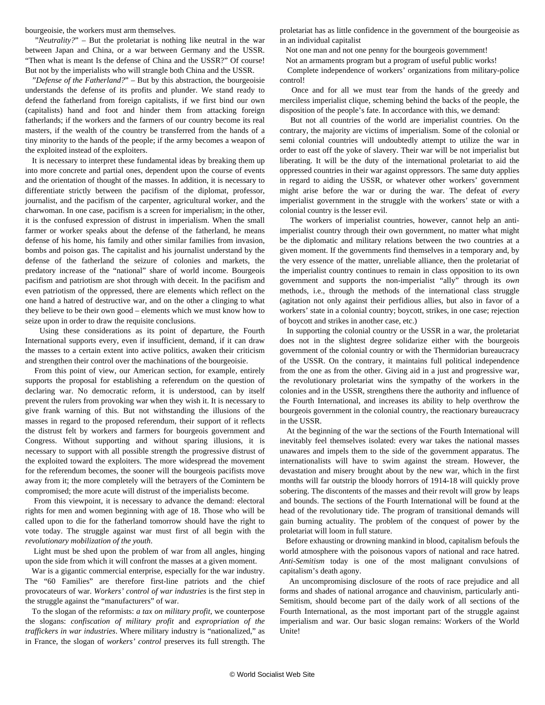bourgeoisie, the workers must arm themselves.

 "*Neutrality?*" – But the proletariat is nothing like neutral in the war between Japan and China, or a war between Germany and the USSR. "Then what is meant Is the defense of China and the USSR?" Of course! But not by the imperialists who will strangle both China and the USSR.

 "*Defense of the Fatherland?*" – But by this abstraction, the bourgeoisie understands the defense of its profits and plunder. We stand ready to defend the fatherland from foreign capitalists, if we first bind our own (capitalists) hand and foot and hinder them from attacking foreign fatherlands; if the workers and the farmers of our country become its real masters, if the wealth of the country be transferred from the hands of a tiny minority to the hands of the people; if the army becomes a weapon of the exploited instead of the exploiters.

 It is necessary to interpret these fundamental ideas by breaking them up into more concrete and partial ones, dependent upon the course of events and the orientation of thought of the masses. In addition, it is necessary to differentiate strictly between the pacifism of the diplomat, professor, journalist, and the pacifism of the carpenter, agricultural worker, and the charwoman. In one case, pacifism is a screen for imperialism; in the other, it is the confused expression of distrust in imperialism. When the small farmer or worker speaks about the defense of the fatherland, he means defense of his home, his family and other similar families from invasion, bombs and poison gas. The capitalist and his journalist understand by the defense of the fatherland the seizure of colonies and markets, the predatory increase of the "national" share of world income. Bourgeois pacifism and patriotism are shot through with deceit. In the pacifism and even patriotism of the oppressed, there are elements which reflect on the one hand a hatred of destructive war, and on the other a clinging to what they believe to be their own good – elements which we must know how to seize upon in order to draw the requisite conclusions.

 Using these considerations as its point of departure, the Fourth International supports every, even if insufficient, demand, if it can draw the masses to a certain extent into active politics, awaken their criticism and strengthen their control over the machinations of the bourgeoisie.

 From this point of view, our American section, for example, entirely supports the proposal for establishing a referendum on the question of declaring war. No democratic reform, it is understood, can by itself prevent the rulers from provoking war when they wish it. It is necessary to give frank warning of this. But not withstanding the illusions of the masses in regard to the proposed referendum, their support of it reflects the distrust felt by workers and farmers for bourgeois government and Congress. Without supporting and without sparing illusions, it is necessary to support with all possible strength the progressive distrust of the exploited toward the exploiters. The more widespread the movement for the referendum becomes, the sooner will the bourgeois pacifists move away from it; the more completely will the betrayers of the Comintern be compromised; the more acute will distrust of the imperialists become.

 From this viewpoint, it is necessary to advance the demand: electoral rights for men and women beginning with age of 18. Those who will be called upon to die for the fatherland tomorrow should have the right to vote today. The struggle against war must first of all begin with the *revolutionary mobilization of the youth*.

 Light must be shed upon the problem of war from all angles, hinging upon the side from which it will confront the masses at a given moment.

 War is a gigantic commercial enterprise, especially for the war industry. The "60 Families" are therefore first-line patriots and the chief provocateurs of war. *Workers' control of war industries* is the first step in the struggle against the "manufacturers" of war.

 To the slogan of the reformists: *a tax on military profit*, we counterpose the slogans: *confiscation of military profit* and *expropriation of the traffickers in war industries*. Where military industry is "nationalized," as in France, the slogan of *workers' control* preserves its full strength. The proletariat has as little confidence in the government of the bourgeoisie as in an individual capitalist

Not one man and not one penny for the bourgeois government!

Not an armaments program but a program of useful public works!

 Complete independence of workers' organizations from military-police control!

 Once and for all we must tear from the hands of the greedy and merciless imperialist clique, scheming behind the backs of the people, the disposition of the people's fate. In accordance with this, we demand:

 But not all countries of the world are imperialist countries. On the contrary, the majority are victims of imperialism. Some of the colonial or semi colonial countries will undoubtedly attempt to utilize the war in order to east off the yoke of slavery. Their war will be not imperialist but liberating. It will be the duty of the international proletariat to aid the oppressed countries in their war against oppressors. The same duty applies in regard to aiding the USSR, or whatever other workers' government might arise before the war or during the war. The defeat of *every* imperialist government in the struggle with the workers' state or with a colonial country is the lesser evil.

 The workers of imperialist countries, however, cannot help an antiimperialist country through their own government, no matter what might be the diplomatic and military relations between the two countries at a given moment. If the governments find themselves in a temporary and, by the very essence of the matter, unreliable alliance, then the proletariat of the imperialist country continues to remain in class opposition to its own government and supports the non-imperialist "ally" through its *own* methods, i.e., through the methods of the international class struggle (agitation not only against their perfidious allies, but also in favor of a workers' state in a colonial country; boycott, strikes, in one case; rejection of boycott and strikes in another case, etc.)

 In supporting the colonial country or the USSR in a war, the proletariat does not in the slightest degree solidarize either with the bourgeois government of the colonial country or with the Thermidorian bureaucracy of the USSR. On the contrary, it maintains full political independence from the one as from the other. Giving aid in a just and progressive war, the revolutionary proletariat wins the sympathy of the workers in the colonies and in the USSR, strengthens there the authority and influence of the Fourth International, and increases its ability to help overthrow the bourgeois government in the colonial country, the reactionary bureaucracy in the USSR.

 At the beginning of the war the sections of the Fourth International will inevitably feel themselves isolated: every war takes the national masses unawares and impels them to the side of the government apparatus. The internationalists will have to swim against the stream. However, the devastation and misery brought about by the new war, which in the first months will far outstrip the bloody horrors of 1914-18 will quickly prove sobering. The discontents of the masses and their revolt will grow by leaps and bounds. The sections of the Fourth International will be found at the head of the revolutionary tide. The program of transitional demands will gain burning actuality. The problem of the conquest of power by the proletariat will loom in full stature.

 Before exhausting or drowning mankind in blood, capitalism befouls the world atmosphere with the poisonous vapors of national and race hatred. *Anti-Semitism* today is one of the most malignant convulsions of capitalism's death agony.

 An uncompromising disclosure of the roots of race prejudice and all forms and shades of national arrogance and chauvinism, particularly anti-Semitism, should become part of the daily work of all sections of the Fourth International, as the most important part of the struggle against imperialism and war. Our basic slogan remains: Workers of the World Unite!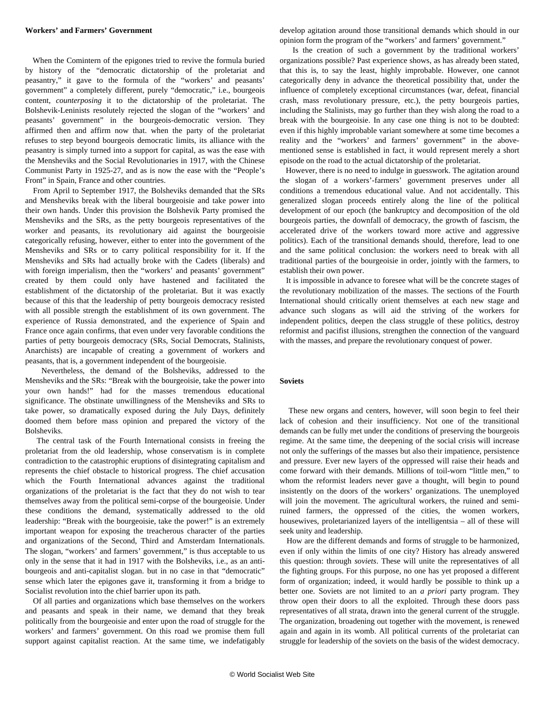#### **Workers' and Farmers' Government**

 When the Comintern of the epigones tried to revive the formula buried by history of the "democratic dictatorship of the proletariat and peasantry," it gave to the formula of the "workers' and peasants' government" a completely different, purely "democratic," i.e., bourgeois content, *counterposing* it to the dictatorship of the proletariat. The Bolshevik-Leninists resolutely rejected the slogan of the "workers' and peasants' government" in the bourgeois-democratic version. They affirmed then and affirm now that. when the party of the proletariat refuses to step beyond bourgeois democratic limits, its alliance with the peasantry is simply turned into a support for capital, as was the ease with the Mensheviks and the Social Revolutionaries in 1917, with the Chinese Communist Party in 1925-27, and as is now the ease with the "People's Front" in Spain, France and other countries.

 From April to September 1917, the Bolsheviks demanded that the SRs and Mensheviks break with the liberal bourgeoisie and take power into their own hands. Under this provision the Bolshevik Party promised the Mensheviks and the SRs, as the petty bourgeois representatives of the worker and peasants, its revolutionary aid against the bourgeoisie categorically refusing, however, either to enter into the government of the Mensheviks and SRs or to carry political responsibility for it. If the Mensheviks and SRs had actually broke with the Cadets (liberals) and with foreign imperialism, then the "workers' and peasants' government" created by them could only have hastened and facilitated the establishment of the dictatorship of the proletariat. But it was exactly because of this that the leadership of petty bourgeois democracy resisted with all possible strength the establishment of its own government. The experience of Russia demonstrated, and the experience of Spain and France once again confirms, that even under very favorable conditions the parties of petty bourgeois democracy (SRs, Social Democrats, Stalinists, Anarchists) are incapable of creating a government of workers and peasants, that is, a government independent of the bourgeoisie.

 Nevertheless, the demand of the Bolsheviks, addressed to the Mensheviks and the SRs: "Break with the bourgeoisie, take the power into your own hands!" had for the masses tremendous educational significance. The obstinate unwillingness of the Mensheviks and SRs to take power, so dramatically exposed during the July Days, definitely doomed them before mass opinion and prepared the victory of the Bolsheviks.

 The central task of the Fourth International consists in freeing the proletariat from the old leadership, whose conservatism is in complete contradiction to the catastrophic eruptions of disintegrating capitalism and represents the chief obstacle to historical progress. The chief accusation which the Fourth International advances against the traditional organizations of the proletariat is the fact that they do not wish to tear themselves away from the political semi-corpse of the bourgeoisie. Under these conditions the demand, systematically addressed to the old leadership: "Break with the bourgeoisie, take the power!" is an extremely important weapon for exposing the treacherous character of the parties and organizations of the Second, Third and Amsterdam Internationals. The slogan, "workers' and farmers' government," is thus acceptable to us only in the sense that it had in 1917 with the Bolsheviks, i.e., as an antibourgeois and anti-capitalist slogan. but in no case in that "democratic" sense which later the epigones gave it, transforming it from a bridge to Socialist revolution into the chief barrier upon its path.

 Of all parties and organizations which base themselves on the workers and peasants and speak in their name, we demand that they break politically from the bourgeoisie and enter upon the road of struggle for the workers' and farmers' government. On this road we promise them full support against capitalist reaction. At the same time, we indefatigably develop agitation around those transitional demands which should in our opinion form the program of the "workers' and farmers' government."

 Is the creation of such a government by the traditional workers' organizations possible? Past experience shows, as has already been stated, that this is, to say the least, highly improbable. However, one cannot categorically deny in advance the theoretical possibility that, under the influence of completely exceptional circumstances (war, defeat, financial crash, mass revolutionary pressure, etc.), the petty bourgeois parties, including the Stalinists, may go further than they wish along the road to a break with the bourgeoisie. In any case one thing is not to be doubted: even if this highly improbable variant somewhere at some time becomes a reality and the "workers' and farmers' government" in the abovementioned sense is established in fact, it would represent merely a short episode on the road to the actual dictatorship of the proletariat.

 However, there is no need to indulge in guesswork. The agitation around the slogan of a workers'-farmers' government preserves under all conditions a tremendous educational value. And not accidentally. This generalized slogan proceeds entirely along the line of the political development of our epoch (the bankruptcy and decomposition of the old bourgeois parties, the downfall of democracy, the growth of fascism, the accelerated drive of the workers toward more active and aggressive politics). Each of the transitional demands should, therefore, lead to one and the same political conclusion: the workers need to break with all traditional parties of the bourgeoisie in order, jointly with the farmers, to establish their own power.

 It is impossible in advance to foresee what will be the concrete stages of the revolutionary mobilization of the masses. The sections of the Fourth International should critically orient themselves at each new stage and advance such slogans as will aid the striving of the workers for independent politics, deepen the class struggle of these politics, destroy reformist and pacifist illusions, strengthen the connection of the vanguard with the masses, and prepare the revolutionary conquest of power.

#### **Soviets**

 These new organs and centers, however, will soon begin to feel their lack of cohesion and their insufficiency. Not one of the transitional demands can be fully met under the conditions of preserving the bourgeois regime. At the same time, the deepening of the social crisis will increase not only the sufferings of the masses but also their impatience, persistence and pressure. Ever new layers of the oppressed will raise their heads and come forward with their demands. Millions of toil-worn "little men," to whom the reformist leaders never gave a thought, will begin to pound insistently on the doors of the workers' organizations. The unemployed will join the movement. The agricultural workers, the ruined and semiruined farmers, the oppressed of the cities, the women workers, housewives, proletarianized layers of the intelligentsia – all of these will seek unity and leadership.

 How are the different demands and forms of struggle to be harmonized, even if only within the limits of one city? History has already answered this question: through *soviets*. These will unite the representatives of all the fighting groups. For this purpose, no one has yet proposed a different form of organization; indeed, it would hardly be possible to think up a better one. Soviets are not limited to an *a priori* party program. They throw open their doors to all the exploited. Through these doors pass representatives of all strata, drawn into the general current of the struggle. The organization, broadening out together with the movement, is renewed again and again in its womb. All political currents of the proletariat can struggle for leadership of the soviets on the basis of the widest democracy.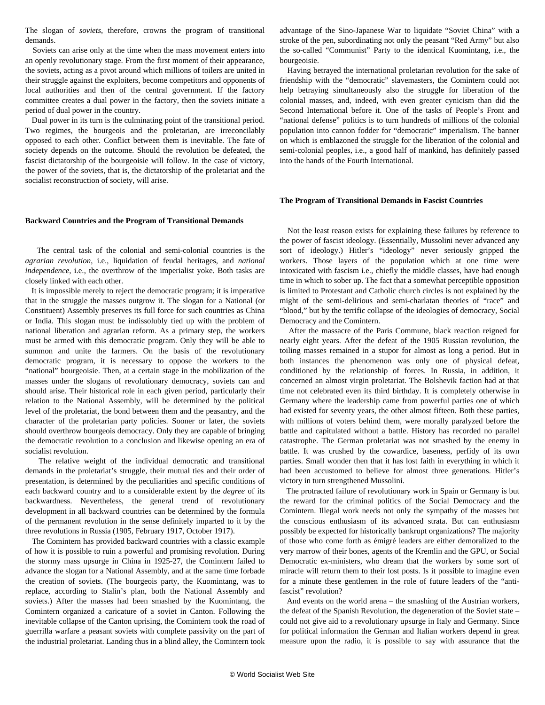The slogan of *soviets*, therefore, crowns the program of transitional demands.

 Soviets can arise only at the time when the mass movement enters into an openly revolutionary stage. From the first moment of their appearance, the soviets, acting as a pivot around which millions of toilers are united in their struggle against the exploiters, become competitors and opponents of local authorities and then of the central government. If the factory committee creates a dual power in the factory, then the soviets initiate a period of dual power in the country.

 Dual power in its turn is the culminating point of the transitional period. Two regimes, the bourgeois and the proletarian, are irreconcilably opposed to each other. Conflict between them is inevitable. The fate of society depends on the outcome. Should the revolution be defeated, the fascist dictatorship of the bourgeoisie will follow. In the case of victory, the power of the soviets, that is, the dictatorship of the proletariat and the socialist reconstruction of society, will arise.

#### **Backward Countries and the Program of Transitional Demands**

 The central task of the colonial and semi-colonial countries is the *agrarian revolution*, i.e., liquidation of feudal heritages, and *national independence*, i.e., the overthrow of the imperialist yoke. Both tasks are closely linked with each other.

 It is impossible merely to reject the democratic program; it is imperative that in the struggle the masses outgrow it. The slogan for a National (or Constituent) Assembly preserves its full force for such countries as China or India. This slogan must be indissolubly tied up with the problem of national liberation and agrarian reform. As a primary step, the workers must be armed with this democratic program. Only they will be able to summon and unite the farmers. On the basis of the revolutionary democratic program, it is necessary to oppose the workers to the "national" bourgeoisie. Then, at a certain stage in the mobilization of the masses under the slogans of revolutionary democracy, soviets can and should arise. Their historical role in each given period, particularly their relation to the National Assembly, will be determined by the political level of the proletariat, the bond between them and the peasantry, and the character of the proletarian party policies. Sooner or later, the soviets should overthrow bourgeois democracy. Only they are capable of bringing the democratic revolution to a conclusion and likewise opening an era of socialist revolution.

 The relative weight of the individual democratic and transitional demands in the proletariat's struggle, their mutual ties and their order of presentation, is determined by the peculiarities and specific conditions of each backward country and to a considerable extent by the *degree* of its backwardness. Nevertheless, the general trend of revolutionary development in all backward countries can be determined by the formula of the permanent revolution in the sense definitely imparted to it by the three revolutions in Russia (1905, February 1917, October 1917).

 The Comintern has provided backward countries with a classic example of how it is possible to ruin a powerful and promising revolution. During the stormy mass upsurge in China in 1925-27, the Comintern failed to advance the slogan for a National Assembly, and at the same time forbade the creation of soviets. (The bourgeois party, the Kuomintang, was to replace, according to Stalin's plan, both the National Assembly and soviets.) After the masses had been smashed by the Kuomintang, the Comintern organized a caricature of a soviet in Canton. Following the inevitable collapse of the Canton uprising, the Comintern took the road of guerrilla warfare a peasant soviets with complete passivity on the part of the industrial proletariat. Landing thus in a blind alley, the Comintern took

advantage of the Sino-Japanese War to liquidate "Soviet China" with a stroke of the pen, subordinating not only the peasant "Red Army" but also the so-called "Communist" Party to the identical Kuomintang, i.e., the bourgeoisie.

 Having betrayed the international proletarian revolution for the sake of friendship with the "democratic" slavemasters, the Comintern could not help betraying simultaneously also the struggle for liberation of the colonial masses, and, indeed, with even greater cynicism than did the Second International before it. One of the tasks of People's Front and "national defense" politics is to turn hundreds of millions of the colonial population into cannon fodder for "democratic" imperialism. The banner on which is emblazoned the struggle for the liberation of the colonial and semi-colonial peoples, i.e., a good half of mankind, has definitely passed into the hands of the Fourth International.

#### **The Program of Transitional Demands in Fascist Countries**

 Not the least reason exists for explaining these failures by reference to the power of fascist ideology. (Essentially, Mussolini never advanced any sort of ideology.) Hitler's "ideology" never seriously gripped the workers. Those layers of the population which at one time were intoxicated with fascism i.e., chiefly the middle classes, have had enough time in which to sober up. The fact that a somewhat perceptible opposition is limited to Protestant and Catholic church circles is not explained by the might of the semi-delirious and semi-charlatan theories of "race" and "blood," but by the terrific collapse of the ideologies of democracy, Social Democracy and the Comintern.

 After the massacre of the Paris Commune, black reaction reigned for nearly eight years. After the defeat of the 1905 Russian revolution, the toiling masses remained in a stupor for almost as long a period. But in both instances the phenomenon was only one of physical defeat, conditioned by the relationship of forces. In Russia, in addition, it concerned an almost virgin proletariat. The Bolshevik faction had at that time not celebrated even its third birthday. It is completely otherwise in Germany where the leadership came from powerful parties one of which had existed for seventy years, the other almost fifteen. Both these parties, with millions of voters behind them, were morally paralyzed before the battle and capitulated without a battle. History has recorded no parallel catastrophe. The German proletariat was not smashed by the enemy in battle. It was crushed by the cowardice, baseness, perfidy of its own parties. Small wonder then that it has lost faith in everything in which it had been accustomed to believe for almost three generations. Hitler's victory in turn strengthened Mussolini.

 The protracted failure of revolutionary work in Spain or Germany is but the reward for the criminal politics of the Social Democracy and the Comintern. Illegal work needs not only the sympathy of the masses but the conscious enthusiasm of its advanced strata. But can enthusiasm possibly be expected for historically bankrupt organizations? The majority of those who come forth as émigré leaders are either demoralized to the very marrow of their bones, agents of the Kremlin and the GPU, or Social Democratic ex-ministers, who dream that the workers by some sort of miracle will return them to their lost posts. Is it possible to imagine even for a minute these gentlemen in the role of future leaders of the "antifascist" revolution?

 And events on the world arena – the smashing of the Austrian workers, the defeat of the Spanish Revolution, the degeneration of the Soviet state – could not give aid to a revolutionary upsurge in Italy and Germany. Since for political information the German and Italian workers depend in great measure upon the radio, it is possible to say with assurance that the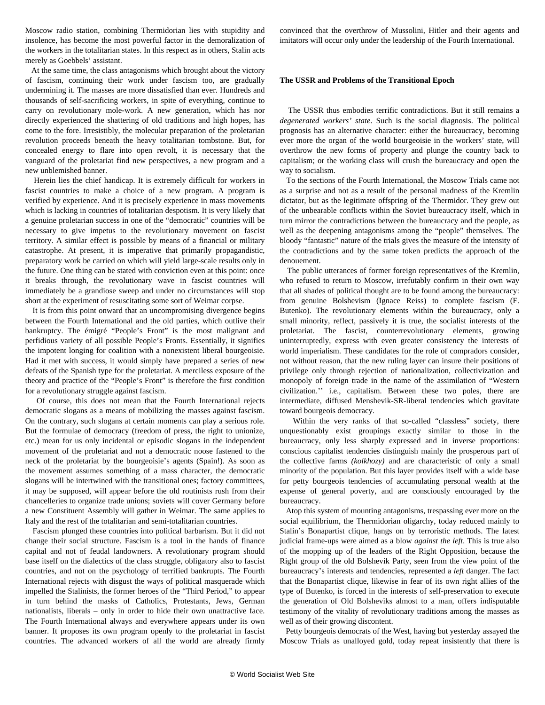Moscow radio station, combining Thermidorian lies with stupidity and insolence, has become the most powerful factor in the demoralization of the workers in the totalitarian states. In this respect as in others, Stalin acts merely as Goebbels' assistant.

 At the same time, the class antagonisms which brought about the victory of fascism, continuing their work under fascism too, are gradually undermining it. The masses are more dissatisfied than ever. Hundreds and thousands of self-sacrificing workers, in spite of everything, continue to carry on revolutionary mole-work. A new generation, which has nor directly experienced the shattering of old traditions and high hopes, has come to the fore. Irresistibly, the molecular preparation of the proletarian revolution proceeds beneath the heavy totalitarian tombstone. But, for concealed energy to flare into open revolt, it is necessary that the vanguard of the proletariat find new perspectives, a new program and a new unblemished banner.

 Herein lies the chief handicap. It is extremely difficult for workers in fascist countries to make a choice of a new program. A program is verified by experience. And it is precisely experience in mass movements which is lacking in countries of totalitarian despotism. It is very likely that a genuine proletarian success in one of the "democratic" countries will be necessary to give impetus to the revolutionary movement on fascist territory. A similar effect is possible by means of a financial or military catastrophe. At present, it is imperative that primarily propagandistic, preparatory work be carried on which will yield large-scale results only in the future. One thing can be stated with conviction even at this point: once it breaks through, the revolutionary wave in fascist countries will immediately be a grandiose sweep and under no circumstances will stop short at the experiment of resuscitating some sort of Weimar corpse.

 It is from this point onward that an uncompromising divergence begins between the Fourth International and the old parties, which outlive their bankruptcy. The émigré "People's Front" is the most malignant and perfidious variety of all possible People's Fronts. Essentially, it signifies the impotent longing for coalition with a nonexistent liberal bourgeoisie. Had it met with success, it would simply have prepared a series of new defeats of the Spanish type for the proletariat. A merciless exposure of the theory and practice of the "People's Front" is therefore the first condition for a revolutionary struggle against fascism.

 Of course, this does not mean that the Fourth International rejects democratic slogans as a means of mobilizing the masses against fascism. On the contrary, such slogans at certain moments can play a serious role. But the formulae of democracy (freedom of press, the right to unionize, etc.) mean for us only incidental or episodic slogans in the independent movement of the proletariat and not a democratic noose fastened to the neck of the proletariat by the bourgeoisie's agents (Spain!). As soon as the movement assumes something of a mass character, the democratic slogans will be intertwined with the transitional ones; factory committees, it may be supposed, will appear before the old routinists rush from their chancelleries to organize trade unions; soviets will cover Germany before a new Constituent Assembly will gather in Weimar. The same applies to Italy and the rest of the totalitarian and semi-totalitarian countries.

 Fascism plunged these countries into political barbarism. But it did not change their social structure. Fascism is a tool in the hands of finance capital and not of feudal landowners. A revolutionary program should base itself on the dialectics of the class struggle, obligatory also to fascist countries, and not on the psychology of terrified bankrupts. The Fourth International rejects with disgust the ways of political masquerade which impelled the Stalinists, the former heroes of the "Third Period," to appear in turn behind the masks of Catholics, Protestants, Jews, German nationalists, liberals – only in order to hide their own unattractive face. The Fourth International always and everywhere appears under its own banner. It proposes its own program openly to the proletariat in fascist countries. The advanced workers of all the world are already firmly convinced that the overthrow of Mussolini, Hitler and their agents and imitators will occur only under the leadership of the Fourth International.

#### **The USSR and Problems of the Transitional Epoch**

 The USSR thus embodies terrific contradictions. But it still remains a *degenerated workers' state*. Such is the social diagnosis. The political prognosis has an alternative character: either the bureaucracy, becoming ever more the organ of the world bourgeoisie in the workers' state, will overthrow the new forms of property and plunge the country back to capitalism; or the working class will crush the bureaucracy and open the way to socialism.

 To the sections of the Fourth International, the Moscow Trials came not as a surprise and not as a result of the personal madness of the Kremlin dictator, but as the legitimate offspring of the Thermidor. They grew out of the unbearable conflicts within the Soviet bureaucracy itself, which in turn mirror the contradictions between the bureaucracy and the people, as well as the deepening antagonisms among the "people" themselves. The bloody "fantastic" nature of the trials gives the measure of the intensity of the contradictions and by the same token predicts the approach of the denouement.

 The public utterances of former foreign representatives of the Kremlin, who refused to return to Moscow, irrefutably confirm in their own way that all shades of political thought are to be found among the bureaucracy: from genuine Bolshevism (Ignace Reiss) to complete fascism (F. Butenko). The revolutionary elements within the bureaucracy, only a small minority, reflect, passively it is true, the socialist interests of the proletariat. The fascist, counterrevolutionary elements, growing uninterruptedly, express with even greater consistency the interests of world imperialism. These candidates for the role of compradors consider, not without reason, that the new ruling layer can insure their positions of privilege only through rejection of nationalization, collectivization and monopoly of foreign trade in the name of the assimilation of "Western civilization.'' i.e., capitalism. Between these two poles, there are intermediate, diffused Menshevik-SR-liberal tendencies which gravitate toward bourgeois democracy.

 Within the very ranks of that so-called "classless" society, there unquestionably exist groupings exactly similar to those in the bureaucracy, only less sharply expressed and in inverse proportions: conscious capitalist tendencies distinguish mainly the prosperous part of the collective farms *(kolkhozy)* and are characteristic of only a small minority of the population. But this layer provides itself with a wide base for petty bourgeois tendencies of accumulating personal wealth at the expense of general poverty, and are consciously encouraged by the bureaucracy.

 Atop this system of mounting antagonisms, trespassing ever more on the social equilibrium, the Thermidorian oligarchy, today reduced mainly to Stalin's Bonapartist clique, hangs on by terroristic methods. The latest judicial frame-ups were aimed as a blow *against the left*. This is true also of the mopping up of the leaders of the Right Opposition, because the Right group of the old Bolshevik Party, seen from the view point of the bureaucracy's interests and tendencies, represented a *left* danger. The fact that the Bonapartist clique, likewise in fear of its own right allies of the type of Butenko, is forced in the interests of self-preservation to execute the generation of Old Bolsheviks almost to a man, offers indisputable testimony of the vitality of revolutionary traditions among the masses as well as of their growing discontent.

 Petty bourgeois democrats of the West, having but yesterday assayed the Moscow Trials as unalloyed gold, today repeat insistently that there is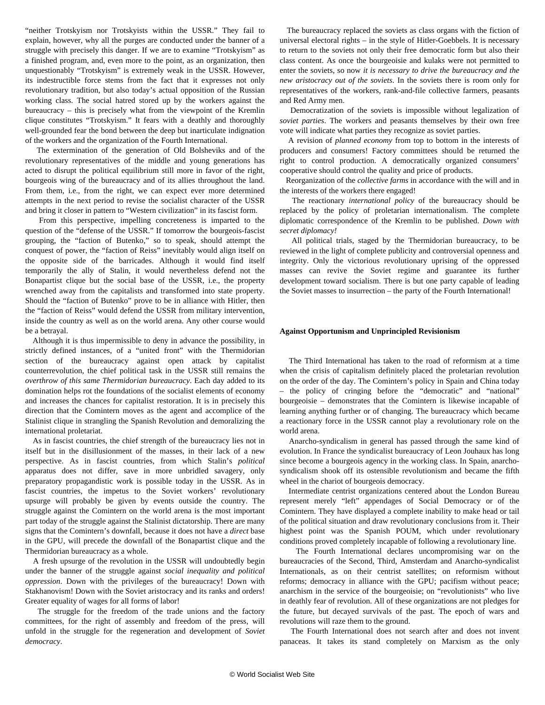"neither Trotskyism nor Trotskyists within the USSR." They fail to explain, however, why all the purges are conducted under the banner of a struggle with precisely this danger. If we are to examine "Trotskyism" as a finished program, and, even more to the point, as an organization, then unquestionably "Trotskyism" is extremely weak in the USSR. However, its indestructible force stems from the fact that it expresses not only revolutionary tradition, but also today's actual opposition of the Russian working class. The social hatred stored up by the workers against the bureaucracy – this is precisely what from the viewpoint of the Kremlin clique constitutes "Trotskyism." It fears with a deathly and thoroughly well-grounded fear the bond between the deep but inarticulate indignation of the workers and the organization of the Fourth International.

 The extermination of the generation of Old Bolsheviks and of the revolutionary representatives of the middle and young generations has acted to disrupt the political equilibrium still more in favor of the right, bourgeois wing of the bureaucracy and of its allies throughout the land. From them, i.e., from the right, we can expect ever more determined attempts in the next period to revise the socialist character of the USSR and bring it closer in pattern to "Western civilization" in its fascist form.

 From this perspective, impelling concreteness is imparted to the question of the "defense of the USSR." If tomorrow the bourgeois-fascist grouping, the "faction of Butenko," so to speak, should attempt the conquest of power, the "faction of Reiss" inevitably would align itself on the opposite side of the barricades. Although it would find itself temporarily the ally of Stalin, it would nevertheless defend not the Bonapartist clique but the social base of the USSR, i.e., the property wrenched away from the capitalists and transformed into state property. Should the "faction of Butenko" prove to be in alliance with Hitler, then the "faction of Reiss" would defend the USSR from military intervention, inside the country as well as on the world arena. Any other course would be a betrayal.

 Although it is thus impermissible to deny in advance the possibility, in strictly defined instances, of a "united front" with the Thermidorian section of the bureaucracy against open attack by capitalist counterrevolution, the chief political task in the USSR still remains the *overthrow of this same Thermidorian bureaucracy*. Each day added to its domination helps rot the foundations of the socialist elements of economy and increases the chances for capitalist restoration. It is in precisely this direction that the Comintern moves as the agent and accomplice of the Stalinist clique in strangling the Spanish Revolution and demoralizing the international proletariat.

 As in fascist countries, the chief strength of the bureaucracy lies not in itself but in the disillusionment of the masses, in their lack of a new perspective. As in fascist countries, from which Stalin's *political* apparatus does not differ, save in more unbridled savagery, only preparatory propagandistic work is possible today in the USSR. As in fascist countries, the impetus to the Soviet workers' revolutionary upsurge will probably be given by events outside the country. The struggle against the Comintern on the world arena is the most important part today of the struggle against the Stalinist dictatorship. There are many signs that the Comintern's downfall, because it does not have a *direct* base in the GPU, will precede the downfall of the Bonapartist clique and the Thermidorian bureaucracy as a whole.

 A fresh upsurge of the revolution in the USSR will undoubtedly begin under the banner of the struggle against *social inequality and political oppression*. Down with the privileges of the bureaucracy! Down with Stakhanovism! Down with the Soviet aristocracy and its ranks and orders! Greater equality of wages for all forms of labor!

 The struggle for the freedom of the trade unions and the factory committees, for the right of assembly and freedom of the press, will unfold in the struggle for the regeneration and development of *Soviet democracy*.

 The bureaucracy replaced the soviets as class organs with the fiction of universal electoral rights – in the style of Hitler-Goebbels. It is necessary to return to the soviets not only their free democratic form but also their class content. As once the bourgeoisie and kulaks were not permitted to enter the soviets, so now *it is necessary to drive the bureaucracy and the new aristocracy out of the soviets*. In the soviets there is room only for representatives of the workers, rank-and-file collective farmers, peasants and Red Army men.

 Democratization of the soviets is impossible without legalization of *soviet parties*. The workers and peasants themselves by their own free vote will indicate what parties they recognize as soviet parties.

 A revision of *planned economy* from top to bottom in the interests of producers and consumers! Factory committees should be returned the right to control production. A democratically organized consumers' cooperative should control the quality and price of products.

 Reorganization of the *collective farms* in accordance with the will and in the interests of the workers there engaged!

 The reactionary *international policy* of the bureaucracy should be replaced by the policy of proletarian internationalism. The complete diplomatic correspondence of the Kremlin to be published. *Down with secret diplomacy!*

 All political trials, staged by the Thermidorian bureaucracy, to be reviewed in the light of complete publicity and controversial openness and integrity. Only the victorious revolutionary uprising of the oppressed masses can revive the Soviet regime and guarantee its further development toward socialism. There is but one party capable of leading the Soviet masses to insurrection – the party of the Fourth International!

## **Against Opportunism and Unprincipled Revisionism**

 The Third International has taken to the road of reformism at a time when the crisis of capitalism definitely placed the proletarian revolution on the order of the day. The Comintern's policy in Spain and China today – the policy of cringing before the "democratic" and "national" bourgeoisie – demonstrates that the Comintern is likewise incapable of learning anything further or of changing. The bureaucracy which became a reactionary force in the USSR cannot play a revolutionary role on the world arena.

 Anarcho-syndicalism in general has passed through the same kind of evolution. In France the syndicalist bureaucracy of Leon Jouhaux has long since become a bourgeois agency in the working class. In Spain, anarchosyndicalism shook off its ostensible revolutionism and became the fifth wheel in the chariot of bourgeois democracy.

 Intermediate centrist organizations centered about the London Bureau represent merely "left" appendages of Social Democracy or of the Comintern. They have displayed a complete inability to make head or tail of the political situation and draw revolutionary conclusions from it. Their highest point was the Spanish POUM, which under revolutionary conditions proved completely incapable of following a revolutionary line.

 The Fourth International declares uncompromising war on the bureaucracies of the Second, Third, Amsterdam and Anarcho-syndicalist Internationals, as on their centrist satellites; on reformism without reforms; democracy in alliance with the GPU; pacifism without peace; anarchism in the service of the bourgeoisie; on "revolutionists" who live in deathly fear of revolution. All of these organizations are not pledges for the future, but decayed survivals of the past. The epoch of wars and revolutions will raze them to the ground.

 The Fourth International does not search after and does not invent panaceas. It takes its stand completely on Marxism as the only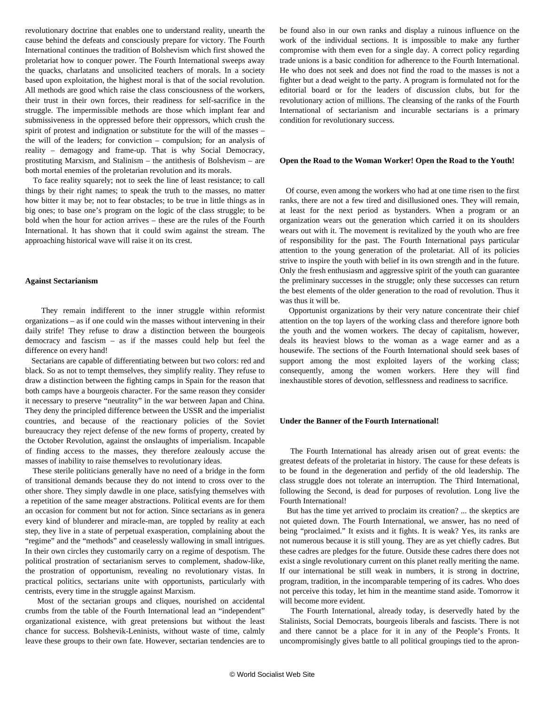revolutionary doctrine that enables one to understand reality, unearth the cause behind the defeats and consciously prepare for victory. The Fourth International continues the tradition of Bolshevism which first showed the proletariat how to conquer power. The Fourth International sweeps away the quacks, charlatans and unsolicited teachers of morals. In a society based upon exploitation, the highest moral is that of the social revolution. All methods are good which raise the class consciousness of the workers, their trust in their own forces, their readiness for self-sacrifice in the struggle. The impermissible methods are those which implant fear and submissiveness in the oppressed before their oppressors, which crush the spirit of protest and indignation or substitute for the will of the masses – the will of the leaders; for conviction – compulsion; for an analysis of reality – demagogy and frame-up. That is why Social Democracy, prostituting Marxism, and Stalinism – the antithesis of Bolshevism – are both mortal enemies of the proletarian revolution and its morals.

 To face reality squarely; not to seek the line of least resistance; to call things by their right names; to speak the truth to the masses, no matter how bitter it may be; not to fear obstacles; to be true in little things as in big ones; to base one's program on the logic of the class struggle; to be bold when the hour for action arrives – these are the rules of the Fourth International. It has shown that it could swim against the stream. The approaching historical wave will raise it on its crest.

#### **Against Sectarianism**

 They remain indifferent to the inner struggle within reformist organizations – as if one could win the masses without intervening in their daily strife! They refuse to draw a distinction between the bourgeois democracy and fascism – as if the masses could help but feel the difference on every hand!

 Sectarians are capable of differentiating between but two colors: red and black. So as not to tempt themselves, they simplify reality. They refuse to draw a distinction between the fighting camps in Spain for the reason that both camps have a bourgeois character. For the same reason they consider it necessary to preserve "neutrality" in the war between Japan and China. They deny the principled difference between the USSR and the imperialist countries, and because of the reactionary policies of the Soviet bureaucracy they reject defense of the new forms of property, created by the October Revolution, against the onslaughts of imperialism. Incapable of finding access to the masses, they therefore zealously accuse the masses of inability to raise themselves to revolutionary ideas.

 These sterile politicians generally have no need of a bridge in the form of transitional demands because they do not intend to cross over to the other shore. They simply dawdle in one place, satisfying themselves with a repetition of the same meager abstractions. Political events are for them an occasion for comment but not for action. Since sectarians as in genera every kind of blunderer and miracle-man, are toppled by reality at each step, they live in a state of perpetual exasperation, complaining about the "regime" and the "methods" and ceaselessly wallowing in small intrigues. In their own circles they customarily carry on a regime of despotism. The political prostration of sectarianism serves to complement, shadow-like, the prostration of opportunism, revealing no revolutionary vistas. In practical politics, sectarians unite with opportunists, particularly with centrists, every time in the struggle against Marxism.

 Most of the sectarian groups and cliques, nourished on accidental crumbs from the table of the Fourth International lead an "independent" organizational existence, with great pretensions but without the least chance for success. Bolshevik-Leninists, without waste of time, calmly leave these groups to their own fate. However, sectarian tendencies are to be found also in our own ranks and display a ruinous influence on the work of the individual sections. It is impossible to make any further compromise with them even for a single day. A correct policy regarding trade unions is a basic condition for adherence to the Fourth International. He who does not seek and does not find the road to the masses is not a fighter but a dead weight to the party. A program is formulated not for the editorial board or for the leaders of discussion clubs, but for the revolutionary action of millions. The cleansing of the ranks of the Fourth International of sectarianism and incurable sectarians is a primary condition for revolutionary success.

#### **Open the Road to the Woman Worker! Open the Road to the Youth!**

 Of course, even among the workers who had at one time risen to the first ranks, there are not a few tired and disillusioned ones. They will remain, at least for the next period as bystanders. When a program or an organization wears out the generation which carried it on its shoulders wears out with it. The movement is revitalized by the youth who are free of responsibility for the past. The Fourth International pays particular attention to the young generation of the proletariat. All of its policies strive to inspire the youth with belief in its own strength and in the future. Only the fresh enthusiasm and aggressive spirit of the youth can guarantee the preliminary successes in the struggle; only these successes can return the best elements of the older generation to the road of revolution. Thus it was thus it will be.

 Opportunist organizations by their very nature concentrate their chief attention on the top layers of the working class and therefore ignore both the youth and the women workers. The decay of capitalism, however, deals its heaviest blows to the woman as a wage earner and as a housewife. The sections of the Fourth International should seek bases of support among the most exploited layers of the working class; consequently, among the women workers. Here they will find inexhaustible stores of devotion, selflessness and readiness to sacrifice.

## **Under the Banner of the Fourth International!**

 The Fourth International has already arisen out of great events: the greatest defeats of the proletariat in history. The cause for these defeats is to be found in the degeneration and perfidy of the old leadership. The class struggle does not tolerate an interruption. The Third International, following the Second, is dead for purposes of revolution. Long live the Fourth International!

 But has the time yet arrived to proclaim its creation? ... the skeptics are not quieted down. The Fourth International, we answer, has no need of being "proclaimed." It exists and it fights. It is weak? Yes, its ranks are not numerous because it is still young. They are as yet chiefly cadres. But these cadres are pledges for the future. Outside these cadres there does not exist a single revolutionary current on this planet really meriting the name. If our international be still weak in numbers, it is strong in doctrine, program, tradition, in the incomparable tempering of its cadres. Who does not perceive this today, let him in the meantime stand aside. Tomorrow it will become more evident.

 The Fourth International, already today, is deservedly hated by the Stalinists, Social Democrats, bourgeois liberals and fascists. There is not and there cannot be a place for it in any of the People's Fronts. It uncompromisingly gives battle to all political groupings tied to the apron